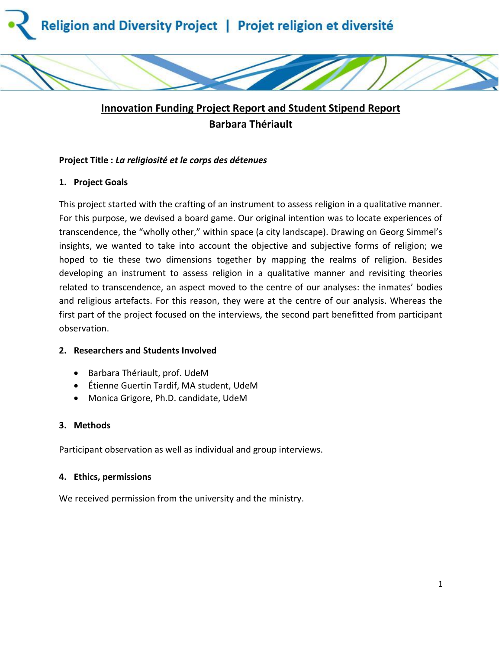

# **Innovation Funding Project Report and Student Stipend Report Barbara Thériault**

# **Project Title :** *La religiosité et le corps des détenues*

# **1. Project Goals**

This project started with the crafting of an instrument to assess religion in a qualitative manner. For this purpose, we devised a board game. Our original intention was to locate experiences of transcendence, the "wholly other," within space (a city landscape). Drawing on Georg Simmel's insights, we wanted to take into account the objective and subjective forms of religion; we hoped to tie these two dimensions together by mapping the realms of religion. Besides developing an instrument to assess religion in a qualitative manner and revisiting theories related to transcendence, an aspect moved to the centre of our analyses: the inmates' bodies and religious artefacts. For this reason, they were at the centre of our analysis. Whereas the first part of the project focused on the interviews, the second part benefitted from participant observation.

# **2. Researchers and Students Involved**

- Barbara Thériault, prof. UdeM
- Étienne Guertin Tardif, MA student, UdeM
- Monica Grigore, Ph.D. candidate, UdeM

# **3. Methods**

Participant observation as well as individual and group interviews.

# **4. Ethics, permissions**

We received permission from the university and the ministry.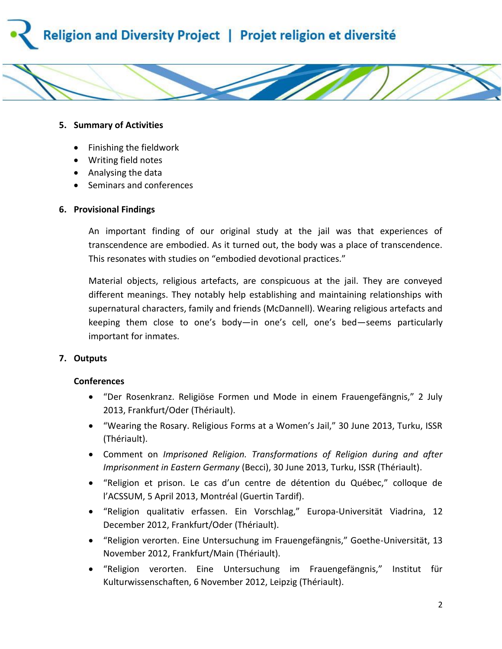



#### **5. Summary of Activities**

- Finishing the fieldwork
- Writing field notes
- Analysing the data
- Seminars and conferences

#### **6. Provisional Findings**

An important finding of our original study at the jail was that experiences of transcendence are embodied. As it turned out, the body was a place of transcendence. This resonates with studies on "embodied devotional practices."

Material objects, religious artefacts, are conspicuous at the jail. They are conveyed different meanings. They notably help establishing and maintaining relationships with supernatural characters, family and friends (McDannell). Wearing religious artefacts and keeping them close to one's body—in one's cell, one's bed—seems particularly important for inmates.

# **7. Outputs**

# **Conferences**

- "Der Rosenkranz. Religiöse Formen und Mode in einem Frauengefängnis," 2 July 2013, Frankfurt/Oder (Thériault).
- "Wearing the Rosary. Religious Forms at a Women's Jail," 30 June 2013, Turku, ISSR (Thériault).
- Comment on *Imprisoned Religion. Transformations of Religion during and after Imprisonment in Eastern Germany* (Becci), 30 June 2013, Turku, ISSR (Thériault).
- "Religion et prison. Le cas d'un centre de détention du Québec," colloque de l'ACSSUM, 5 April 2013, Montréal (Guertin Tardif).
- "Religion qualitativ erfassen. Ein Vorschlag," Europa-Universität Viadrina, 12 December 2012, Frankfurt/Oder (Thériault).
- "Religion verorten. Eine Untersuchung im Frauengefängnis," Goethe-Universität, 13 November 2012, Frankfurt/Main (Thériault).
- "Religion verorten. Eine Untersuchung im Frauengefängnis," Institut für Kulturwissenschaften, 6 November 2012, Leipzig (Thériault).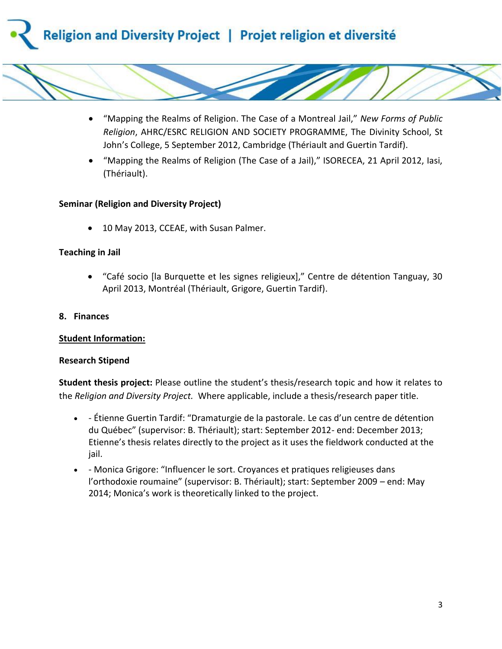



 "Mapping the Realms of Religion (The Case of a Jail)," ISORECEA, 21 April 2012, Iasi, (Thériault).

#### **Seminar (Religion and Diversity Project)**

• 10 May 2013, CCEAE, with Susan Palmer.

#### **Teaching in Jail**

 "Café socio [la Burquette et les signes religieux]," Centre de détention Tanguay, 30 April 2013, Montréal (Thériault, Grigore, Guertin Tardif).

#### **8. Finances**

#### **Student Information:**

#### **Research Stipend**

**Student thesis project:** Please outline the student's thesis/research topic and how it relates to the *Religion and Diversity Project.* Where applicable, include a thesis/research paper title.

- Étienne Guertin Tardif: "Dramaturgie de la pastorale. Le cas d'un centre de détention du Québec" (supervisor: B. Thériault); start: September 2012- end: December 2013; Etienne's thesis relates directly to the project as it uses the fieldwork conducted at the jail.
- Monica Grigore: "Influencer le sort. Croyances et pratiques religieuses dans l'orthodoxie roumaine" (supervisor: B. Thériault); start: September 2009 – end: May 2014; Monica's work is theoretically linked to the project.